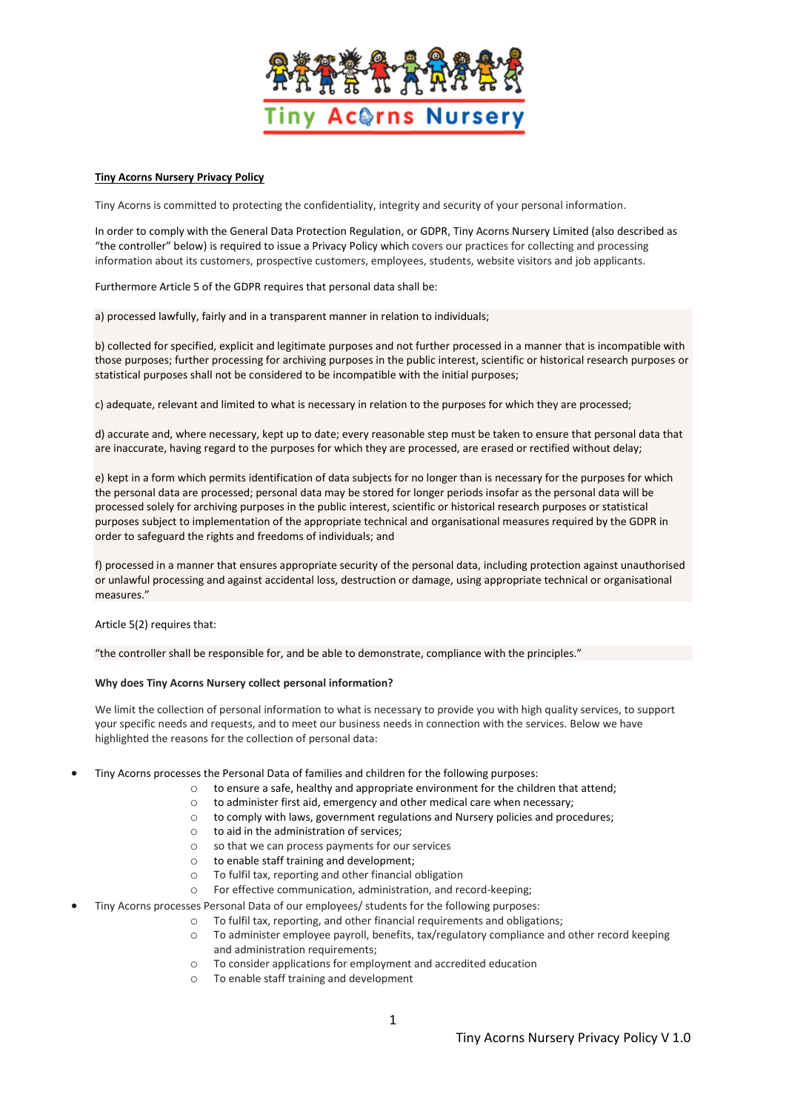

### **Tiny Acorns Nursery Privacy Policy**

Tiny Acorns is committed to protecting the confidentiality, integrity and security of your personal information.

In order to comply with the General Data Protection Regulation, or GDPR, Tiny Acorns Nursery Limited (also described as "the controller" below) is required to issue a Privacy Policy which covers our practices for collecting and processing information about its customers, prospective customers, employees, students, website visitors and job applicants.

Furthermore Article 5 of the GDPR requires that personal data shall be:

a) processed lawfully, fairly and in a transparent manner in relation to individuals;

b) collected for specified, explicit and legitimate purposes and not further processed in a manner that is incompatible with those purposes; further processing for archiving purposes in the public interest, scientific or historical research purposes or statistical purposes shall not be considered to be incompatible with the initial purposes;

c) adequate, relevant and limited to what is necessary in relation to the purposes for which they are processed;

d) accurate and, where necessary, kept up to date; every reasonable step must be taken to ensure that personal data that are inaccurate, having regard to the purposes for which they are processed, are erased or rectified without delay;

e) kept in a form which permits identification of data subjects for no longer than is necessary for the purposes for which the personal data are processed; personal data may be stored for longer periods insofar as the personal data will be processed solely for archiving purposes in the public interest, scientific or historical research purposes or statistical purposes subject to implementation of the appropriate technical and organisational measures required by the GDPR in order to safeguard the rights and freedoms of individuals; and

f) processed in a manner that ensures appropriate security of the personal data, including protection against unauthorised or unlawful processing and against accidental loss, destruction or damage, using appropriate technical or organisational measures."

Article 5(2) requires that:

"the controller shall be responsible for, and be able to demonstrate, compliance with the principles."

#### **Why does Tiny Acorns Nursery collect personal information?**

We limit the collection of personal information to what is necessary to provide you with high quality services, to support your specific needs and requests, and to meet our business needs in connection with the services. Below we have highlighted the reasons for the collection of personal data:

- Tiny Acorns processes the Personal Data of families and children for the following purposes:
	- o to ensure a safe, healthy and appropriate environment for the children that attend;
	- $\circ$  to administer first aid, emergency and other medical care when necessary;
	- $\circ$  to comply with laws, government regulations and Nursery policies and procedures;
	- o to aid in the administration of services;
	- o so that we can process payments for our services
	- o to enable staff training and development;
	- o To fulfil tax, reporting and other financial obligation
	- o For effective communication, administration, and record-keeping;
- Tiny Acorns processes Personal Data of our employees/ students for the following purposes:
	- o To fulfil tax, reporting, and other financial requirements and obligations;
		- o To administer employee payroll, benefits, tax/regulatory compliance and other record keeping and administration requirements;
		- o To consider applications for employment and accredited education
		- o To enable staff training and development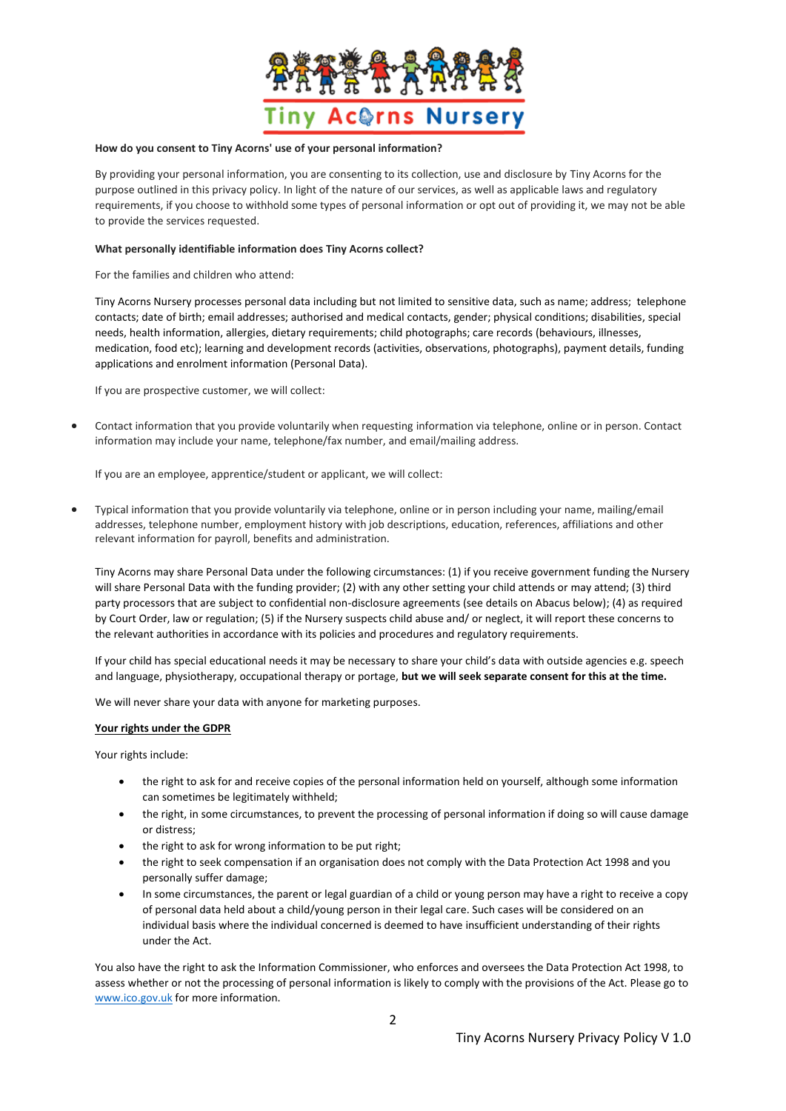

#### **How do you consent to Tiny Acorns' use of your personal information?**

By providing your personal information, you are consenting to its collection, use and disclosure by Tiny Acorns for the purpose outlined in this privacy policy. In light of the nature of our services, as well as applicable laws and regulatory requirements, if you choose to withhold some types of personal information or opt out of providing it, we may not be able to provide the services requested.

### **What personally identifiable information does Tiny Acorns collect?**

For the families and children who attend:

Tiny Acorns Nursery processes personal data including but not limited to sensitive data, such as name; address; telephone contacts; date of birth; email addresses; authorised and medical contacts, gender; physical conditions; disabilities, special needs, health information, allergies, dietary requirements; child photographs; care records (behaviours, illnesses, medication, food etc); learning and development records (activities, observations, photographs), payment details, funding applications and enrolment information (Personal Data).

If you are prospective customer, we will collect:

• Contact information that you provide voluntarily when requesting information via telephone, online or in person. Contact information may include your name, telephone/fax number, and email/mailing address.

If you are an employee, apprentice/student or applicant, we will collect:

• Typical information that you provide voluntarily via telephone, online or in person including your name, mailing/email addresses, telephone number, employment history with job descriptions, education, references, affiliations and other relevant information for payroll, benefits and administration.

Tiny Acorns may share Personal Data under the following circumstances: (1) if you receive government funding the Nursery will share Personal Data with the funding provider; (2) with any other setting your child attends or may attend; (3) third party processors that are subject to confidential non-disclosure agreements (see details on Abacus below); (4) as required by Court Order, law or regulation; (5) if the Nursery suspects child abuse and/ or neglect, it will report these concerns to the relevant authorities in accordance with its policies and procedures and regulatory requirements.

If your child has special educational needs it may be necessary to share your child's data with outside agencies e.g. speech and language, physiotherapy, occupational therapy or portage, **but we will seek separate consent for this at the time.** 

We will never share your data with anyone for marketing purposes.

# **Your rights under the GDPR**

Your rights include:

- the right to ask for and receive copies of the personal information held on yourself, although some information can sometimes be legitimately withheld;
- the right, in some circumstances, to prevent the processing of personal information if doing so will cause damage or distress;
- the right to ask for wrong information to be put right;
- the right to seek compensation if an organisation does not comply with the Data Protection Act 1998 and you personally suffer damage;
- In some circumstances, the parent or legal guardian of a child or young person may have a right to receive a copy of personal data held about a child/young person in their legal care. Such cases will be considered on an individual basis where the individual concerned is deemed to have insufficient understanding of their rights under the Act.

You also have the right to ask the Information Commissioner, who enforces and oversees the Data Protection Act 1998, to assess whether or not the processing of personal information is likely to comply with the provisions of the Act. Please go to [www.ico.gov.uk](http://www.ico.gov.uk/) for more information.